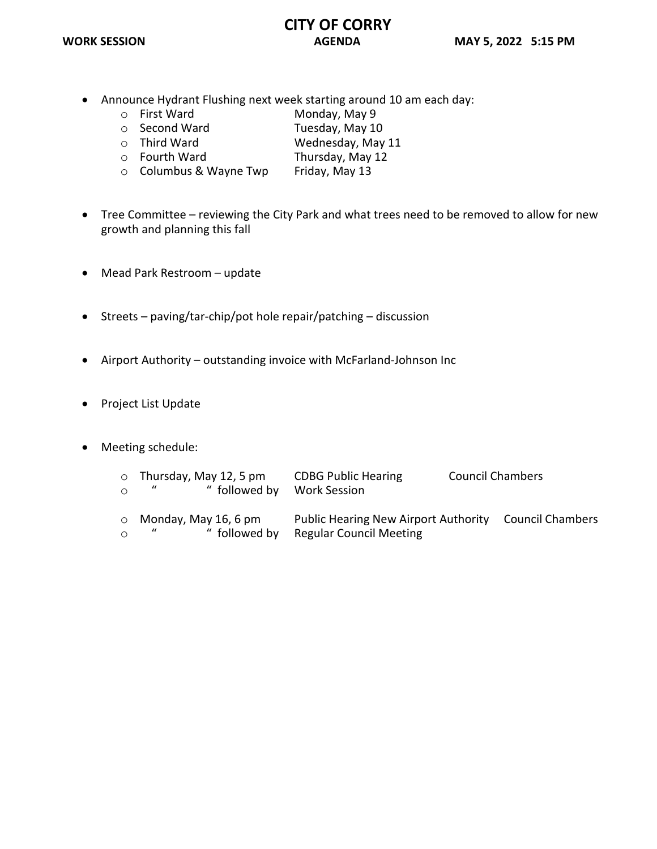### **CITY OF CORRY WORK SESSION AGENDA MAY 5, 2022 5:15 PM**

- Announce Hydrant Flushing next week starting around 10 am each day:
	-
	- o First Ward Monday, May 9<br>
	o Second Ward Tuesday. May 10
	- o Second Ward Tuesday, May 10<br>
	o Third Ward Consumer Wednesday, May
	- o Third Ward Wednesday, May 11<br>
	o Fourth Ward Thursday, May 12
	- Thursday, May 12<br>Friday, May 13  $\circ$  Columbus & Wayne Twp
- Tree Committee reviewing the City Park and what trees need to be removed to allow for new growth and planning this fall
- Mead Park Restroom update
- Streets paving/tar-chip/pot hole repair/patching discussion
- Airport Authority outstanding invoice with McFarland-Johnson Inc
- Project List Update
- Meeting schedule:

| $\Omega$ | $\circ$ Thursday, May 12, 5 pm<br>$\mathbf{u}$ and $\mathbf{u}$<br>" followed by | <b>CDBG Public Hearing</b><br><b>Work Session</b>                                       | <b>Council Chambers</b> |
|----------|----------------------------------------------------------------------------------|-----------------------------------------------------------------------------------------|-------------------------|
| $\circ$  | $\circ$ Monday, May 16, 6 pm<br>$\boldsymbol{u}$<br>" followed by                | Public Hearing New Airport Authority Council Chambers<br><b>Regular Council Meeting</b> |                         |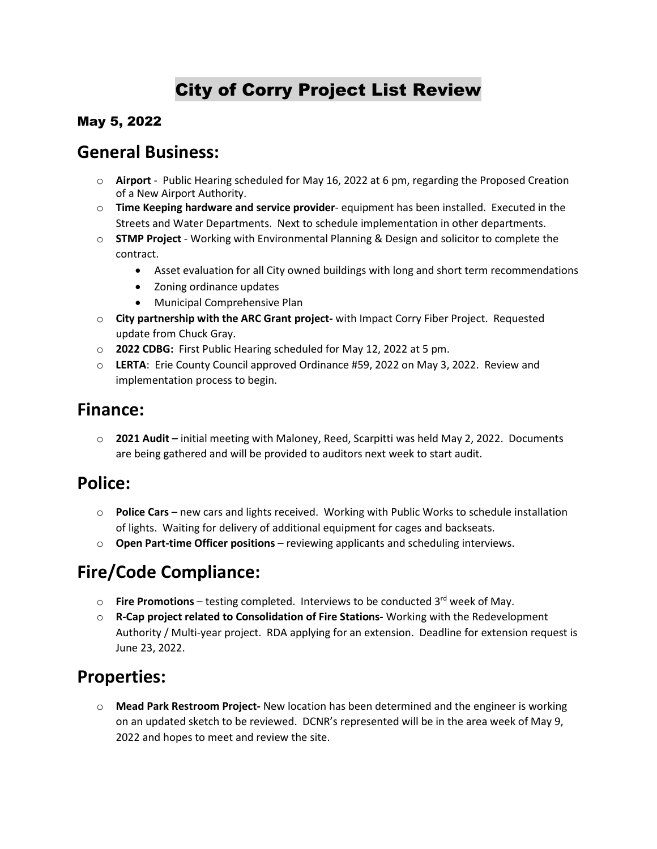# City of Corry Project List Review

### May 5, 2022

### **General Business:**

- o **Airport** Public Hearing scheduled for May 16, 2022 at 6 pm, regarding the Proposed Creation of a New Airport Authority.
- o **Time Keeping hardware and service provider** equipment has been installed. Executed in the Streets and Water Departments. Next to schedule implementation in other departments.
- o **STMP Project** Working with Environmental Planning & Design and solicitor to complete the contract.
	- Asset evaluation for all City owned buildings with long and short term recommendations
	- Zoning ordinance updates
	- Municipal Comprehensive Plan
- o **City partnership with the ARC Grant project-** with Impact Corry Fiber Project. Requested update from Chuck Gray.
- o **2022 CDBG:** First Public Hearing scheduled for May 12, 2022 at 5 pm.
- o **LERTA**: Erie County Council approved Ordinance #59, 2022 on May 3, 2022. Review and implementation process to begin.

### **Finance:**

o **2021 Audit –** initial meeting with Maloney, Reed, Scarpitti was held May 2, 2022. Documents are being gathered and will be provided to auditors next week to start audit.

## **Police:**

- o **Police Cars**  new cars and lights received. Working with Public Works to schedule installation of lights. Waiting for delivery of additional equipment for cages and backseats.
- o **Open Part-time Officer positions** reviewing applicants and scheduling interviews.

## **Fire/Code Compliance:**

- o **Fire Promotions**  testing completed. Interviews to be conducted 3rd week of May.
- o **R-Cap project related to Consolidation of Fire Stations-** Working with the Redevelopment Authority / Multi-year project. RDA applying for an extension. Deadline for extension request is June 23, 2022.

## **Properties:**

o **Mead Park Restroom Project-** New location has been determined and the engineer is working on an updated sketch to be reviewed. DCNR's represented will be in the area week of May 9, 2022 and hopes to meet and review the site.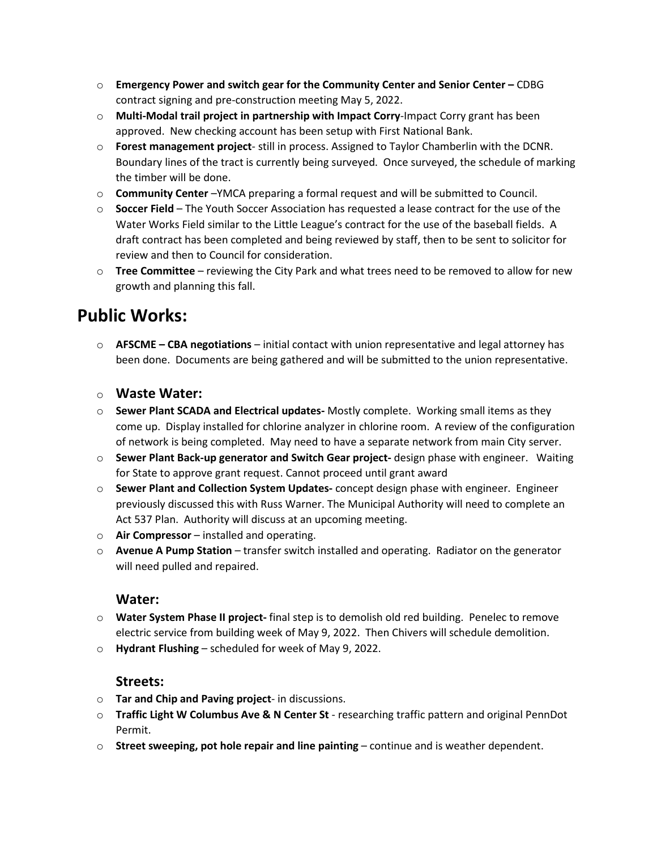- o **Emergency Power and switch gear for the Community Center and Senior Center –** CDBG contract signing and pre-construction meeting May 5, 2022.
- o **Multi-Modal trail project in partnership with Impact Corry**-Impact Corry grant has been approved. New checking account has been setup with First National Bank.
- o **Forest management project** still in process. Assigned to Taylor Chamberlin with the DCNR. Boundary lines of the tract is currently being surveyed. Once surveyed, the schedule of marking the timber will be done.
- o **Community Center** –YMCA preparing a formal request and will be submitted to Council.
- o **Soccer Field** The Youth Soccer Association has requested a lease contract for the use of the Water Works Field similar to the Little League's contract for the use of the baseball fields. A draft contract has been completed and being reviewed by staff, then to be sent to solicitor for review and then to Council for consideration.
- o **Tree Committee** reviewing the City Park and what trees need to be removed to allow for new growth and planning this fall.

## **Public Works:**

o **AFSCME – CBA negotiations** – initial contact with union representative and legal attorney has been done. Documents are being gathered and will be submitted to the union representative.

#### o **Waste Water:**

- o **Sewer Plant SCADA and Electrical updates-** Mostly complete. Working small items as they come up. Display installed for chlorine analyzer in chlorine room. A review of the configuration of network is being completed. May need to have a separate network from main City server.
- o **Sewer Plant Back-up generator and Switch Gear project-** design phase with engineer. Waiting for State to approve grant request. Cannot proceed until grant award
- o **Sewer Plant and Collection System Updates-** concept design phase with engineer. Engineer previously discussed this with Russ Warner. The Municipal Authority will need to complete an Act 537 Plan. Authority will discuss at an upcoming meeting.
- o **Air Compressor**  installed and operating.
- o **Avenue A Pump Station** transfer switch installed and operating. Radiator on the generator will need pulled and repaired.

### **Water:**

- o **Water System Phase II project-** final step is to demolish old red building. Penelec to remove electric service from building week of May 9, 2022. Then Chivers will schedule demolition.
- o **Hydrant Flushing** scheduled for week of May 9, 2022.

### **Streets:**

- o **Tar and Chip and Paving project** in discussions.
- o **Traffic Light W Columbus Ave & N Center St**  researching traffic pattern and original PennDot Permit.
- o **Street sweeping, pot hole repair and line painting** continue and is weather dependent.